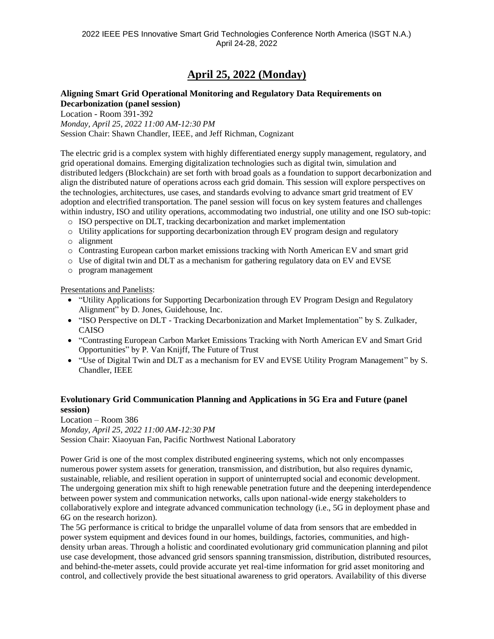# **April 25, 2022 (Monday)**

#### **Aligning Smart Grid Operational Monitoring and Regulatory Data Requirements on Decarbonization (panel session)**

Location - Room 391-392

*Monday, April 25, 2022 11:00 AM-12:30 PM*

Session Chair: Shawn Chandler, IEEE, and Jeff Richman, Cognizant

The electric grid is a complex system with highly differentiated energy supply management, regulatory, and grid operational domains. Emerging digitalization technologies such as digital twin, simulation and distributed ledgers (Blockchain) are set forth with broad goals as a foundation to support decarbonization and align the distributed nature of operations across each grid domain. This session will explore perspectives on the technologies, architectures, use cases, and standards evolving to advance smart grid treatment of EV adoption and electrified transportation. The panel session will focus on key system features and challenges within industry, ISO and utility operations, accommodating two industrial, one utility and one ISO sub-topic:

- o ISO perspective on DLT, tracking decarbonization and market implementation
- $\circ$  Utility applications for supporting decarbonization through EV program design and regulatory
- o alignment
- o Contrasting European carbon market emissions tracking with North American EV and smart grid
- o Use of digital twin and DLT as a mechanism for gathering regulatory data on EV and EVSE
- o program management

Presentations and Panelists:

- "Utility Applications for Supporting Decarbonization through EV Program Design and Regulatory Alignment" by D. Jones, Guidehouse, Inc.
- "ISO Perspective on DLT Tracking Decarbonization and Market Implementation" by S. Zulkader, CAISO
- "Contrasting European Carbon Market Emissions Tracking with North American EV and Smart Grid Opportunities" by P. Van Knijff, The Future of Trust
- "Use of Digital Twin and DLT as a mechanism for EV and EVSE Utility Program Management" by S. Chandler, IEEE

## **Evolutionary Grid Communication Planning and Applications in 5G Era and Future (panel session)**

Location – Room 386 *Monday, April 25, 2022 11:00 AM-12:30 PM* Session Chair: Xiaoyuan Fan, Pacific Northwest National Laboratory

Power Grid is one of the most complex distributed engineering systems, which not only encompasses numerous power system assets for generation, transmission, and distribution, but also requires dynamic, sustainable, reliable, and resilient operation in support of uninterrupted social and economic development. The undergoing generation mix shift to high renewable penetration future and the deepening interdependence between power system and communication networks, calls upon national-wide energy stakeholders to collaboratively explore and integrate advanced communication technology (i.e., 5G in deployment phase and 6G on the research horizon).

The 5G performance is critical to bridge the unparallel volume of data from sensors that are embedded in power system equipment and devices found in our homes, buildings, factories, communities, and highdensity urban areas. Through a holistic and coordinated evolutionary grid communication planning and pilot use case development, those advanced grid sensors spanning transmission, distribution, distributed resources, and behind-the-meter assets, could provide accurate yet real-time information for grid asset monitoring and control, and collectively provide the best situational awareness to grid operators. Availability of this diverse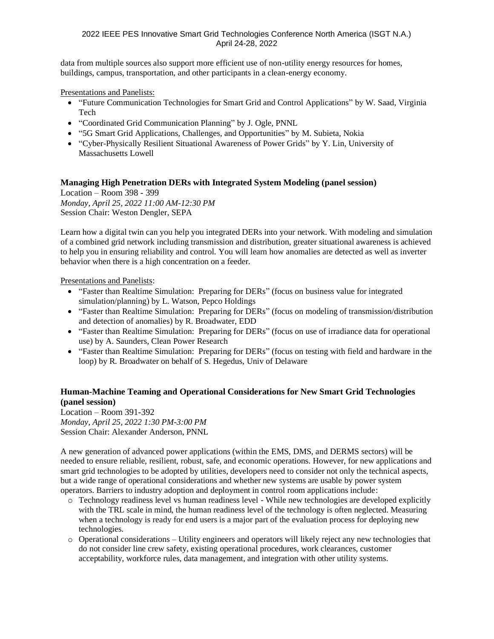data from multiple sources also support more efficient use of non-utility energy resources for homes, buildings, campus, transportation, and other participants in a clean-energy economy.

Presentations and Panelists:

- "Future Communication Technologies for Smart Grid and Control Applications" by W. Saad, Virginia Tech
- "Coordinated Grid Communication Planning" by J. Ogle, PNNL
- "5G Smart Grid Applications, Challenges, and Opportunities" by M. Subieta, Nokia
- "Cyber-Physically Resilient Situational Awareness of Power Grids" by Y. Lin, University of Massachusetts Lowell

## **Managing High Penetration DERs with Integrated System Modeling (panel session)**

Location – Room 398 - 399 *Monday, April 25, 2022 11:00 AM-12:30 PM* Session Chair: Weston Dengler, SEPA

Learn how a digital twin can you help you integrated DERs into your network. With modeling and simulation of a combined grid network including transmission and distribution, greater situational awareness is achieved to help you in ensuring reliability and control. You will learn how anomalies are detected as well as inverter behavior when there is a high concentration on a feeder.

Presentations and Panelists:

- "Faster than Realtime Simulation: Preparing for DERs" (focus on business value for integrated simulation/planning) by L. Watson, Pepco Holdings
- "Faster than Realtime Simulation: Preparing for DERs" (focus on modeling of transmission/distribution and detection of anomalies) by R. Broadwater, EDD
- "Faster than Realtime Simulation: Preparing for DERs" (focus on use of irradiance data for operational use) by A. Saunders, Clean Power Research
- "Faster than Realtime Simulation: Preparing for DERs" (focus on testing with field and hardware in the loop) by R. Broadwater on behalf of S. Hegedus, Univ of Delaware

# **Human-Machine Teaming and Operational Considerations for New Smart Grid Technologies (panel session)**

Location – Room 391-392 *Monday, April 25, 2022 1:30 PM-3:00 PM* Session Chair: Alexander Anderson, PNNL

A new generation of advanced power applications (within the EMS, DMS, and DERMS sectors) will be needed to ensure reliable, resilient, robust, safe, and economic operations. However, for new applications and smart grid technologies to be adopted by utilities, developers need to consider not only the technical aspects, but a wide range of operational considerations and whether new systems are usable by power system operators. Barriers to industry adoption and deployment in control room applications include:

- o Technology readiness level vs human readiness level While new technologies are developed explicitly with the TRL scale in mind, the human readiness level of the technology is often neglected. Measuring when a technology is ready for end users is a major part of the evaluation process for deploying new technologies.
- o Operational considerations Utility engineers and operators will likely reject any new technologies that do not consider line crew safety, existing operational procedures, work clearances, customer acceptability, workforce rules, data management, and integration with other utility systems.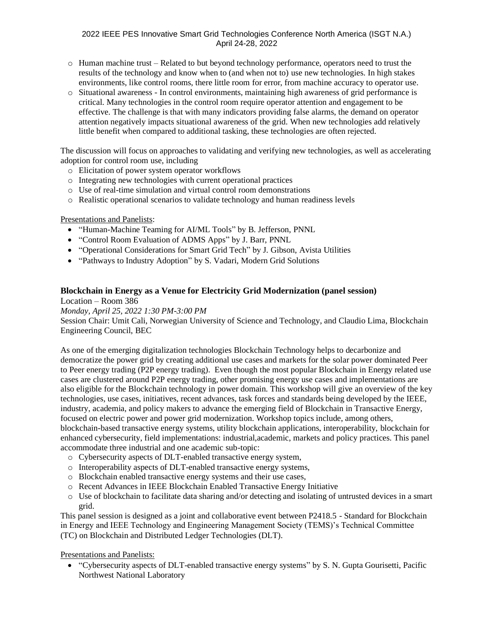- o Human machine trust Related to but beyond technology performance, operators need to trust the results of the technology and know when to (and when not to) use new technologies. In high stakes environments, like control rooms, there little room for error, from machine accuracy to operator use.
- o Situational awareness In control environments, maintaining high awareness of grid performance is critical. Many technologies in the control room require operator attention and engagement to be effective. The challenge is that with many indicators providing false alarms, the demand on operator attention negatively impacts situational awareness of the grid. When new technologies add relatively little benefit when compared to additional tasking, these technologies are often rejected.

The discussion will focus on approaches to validating and verifying new technologies, as well as accelerating adoption for control room use, including

- o Elicitation of power system operator workflows
- o Integrating new technologies with current operational practices
- o Use of real-time simulation and virtual control room demonstrations
- o Realistic operational scenarios to validate technology and human readiness levels

#### Presentations and Panelists:

- "Human-Machine Teaming for AI/ML Tools" by B. Jefferson, PNNL
- "Control Room Evaluation of ADMS Apps" by J. Barr, PNNL
- "Operational Considerations for Smart Grid Tech" by J. Gibson, Avista Utilities
- "Pathways to Industry Adoption" by S. Vadari, Modern Grid Solutions

# **Blockchain in Energy as a Venue for Electricity Grid Modernization (panel session)**

Location – Room 386

*Monday, April 25, 2022 1:30 PM-3:00 PM*

Session Chair: Umit Cali, Norwegian University of Science and Technology, and Claudio Lima, Blockchain Engineering Council, BEC

As one of the emerging digitalization technologies Blockchain Technology helps to decarbonize and democratize the power grid by creating additional use cases and markets for the solar power dominated Peer to Peer energy trading (P2P energy trading). Even though the most popular Blockchain in Energy related use cases are clustered around P2P energy trading, other promising energy use cases and implementations are also eligible for the Blockchain technology in power domain. This workshop will give an overview of the key technologies, use cases, initiatives, recent advances, task forces and standards being developed by the IEEE, industry, academia, and policy makers to advance the emerging field of Blockchain in Transactive Energy, focused on electric power and power grid modernization. Workshop topics include, among others, blockchain-based transactive energy systems, utility blockchain applications, interoperability, blockchain for enhanced cybersecurity, field implementations: industrial,academic, markets and policy practices. This panel accommodate three industrial and one academic sub-topic:

- o Cybersecurity aspects of DLT-enabled transactive energy system,
- o Interoperability aspects of DLT-enabled transactive energy systems,
- o Blockchain enabled transactive energy systems and their use cases,
- o Recent Advances in IEEE Blockchain Enabled Transactive Energy Initiative
- o Use of blockchain to facilitate data sharing and/or detecting and isolating of untrusted devices in a smart grid.

This panel session is designed as a joint and collaborative event between P2418.5 - Standard for Blockchain in Energy and IEEE Technology and Engineering Management Society (TEMS)'s Technical Committee (TC) on Blockchain and Distributed Ledger Technologies (DLT).

Presentations and Panelists:

• "Cybersecurity aspects of DLT-enabled transactive energy systems" by S. N. Gupta Gourisetti, Pacific Northwest National Laboratory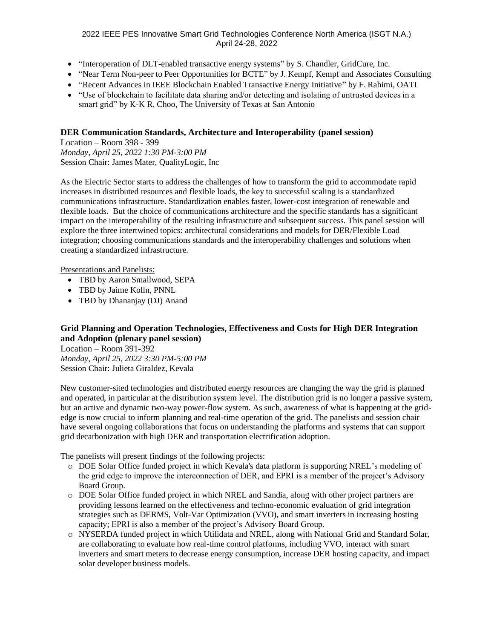- "Interoperation of DLT-enabled transactive energy systems" by S. Chandler, GridCure, Inc.
- "Near Term Non-peer to Peer Opportunities for BCTE" by J. Kempf, Kempf and Associates Consulting
- "Recent Advances in IEEE Blockchain Enabled Transactive Energy Initiative" by F. Rahimi, OATI
- "Use of blockchain to facilitate data sharing and/or detecting and isolating of untrusted devices in a smart grid" by K-K R. Choo, The University of Texas at San Antonio

#### **DER Communication Standards, Architecture and Interoperability (panel session)**

Location – Room 398 - 399 *Monday, April 25, 2022 1:30 PM-3:00 PM* Session Chair: James Mater, QualityLogic, Inc

As the Electric Sector starts to address the challenges of how to transform the grid to accommodate rapid increases in distributed resources and flexible loads, the key to successful scaling is a standardized communications infrastructure. Standardization enables faster, lower-cost integration of renewable and flexible loads. But the choice of communications architecture and the specific standards has a significant impact on the interoperability of the resulting infrastructure and subsequent success. This panel session will explore the three intertwined topics: architectural considerations and models for DER/Flexible Load integration; choosing communications standards and the interoperability challenges and solutions when creating a standardized infrastructure.

Presentations and Panelists:

- TBD by Aaron Smallwood, SEPA
- TBD by Jaime Kolln, PNNL
- TBD by Dhananjay (DJ) Anand

## **Grid Planning and Operation Technologies, Effectiveness and Costs for High DER Integration and Adoption (plenary panel session)**

Location – Room 391-392 *Monday, April 25, 2022 3:30 PM-5:00 PM* Session Chair: Julieta Giraldez, Kevala

New customer-sited technologies and distributed energy resources are changing the way the grid is planned and operated, in particular at the distribution system level. The distribution grid is no longer a passive system, but an active and dynamic two-way power-flow system. As such, awareness of what is happening at the gridedge is now crucial to inform planning and real-time operation of the grid. The panelists and session chair have several ongoing collaborations that focus on understanding the platforms and systems that can support grid decarbonization with high DER and transportation electrification adoption.

The panelists will present findings of the following projects:

- o DOE Solar Office funded project in which Kevala's data platform is supporting NREL's modeling of the grid edge to improve the interconnection of DER, and EPRI is a member of the project's Advisory Board Group.
- o DOE Solar Office funded project in which NREL and Sandia, along with other project partners are providing lessons learned on the effectiveness and techno-economic evaluation of grid integration strategies such as DERMS, Volt-Var Optimization (VVO), and smart inverters in increasing hosting capacity; EPRI is also a member of the project's Advisory Board Group.
- o NYSERDA funded project in which Utilidata and NREL, along with National Grid and Standard Solar, are collaborating to evaluate how real-time control platforms, including VVO, interact with smart inverters and smart meters to decrease energy consumption, increase DER hosting capacity, and impact solar developer business models.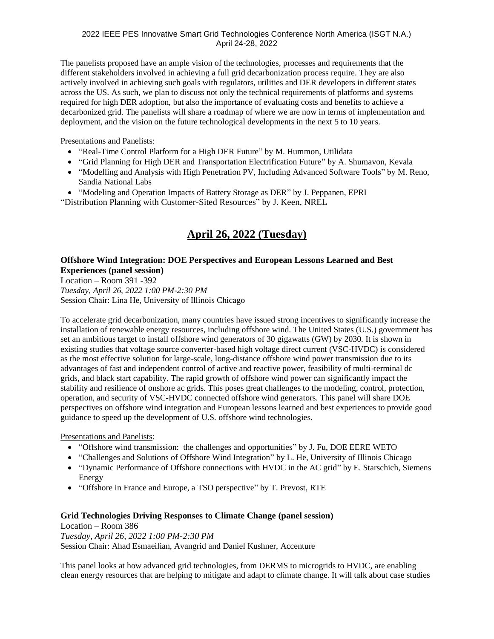The panelists proposed have an ample vision of the technologies, processes and requirements that the different stakeholders involved in achieving a full grid decarbonization process require. They are also actively involved in achieving such goals with regulators, utilities and DER developers in different states across the US. As such, we plan to discuss not only the technical requirements of platforms and systems required for high DER adoption, but also the importance of evaluating costs and benefits to achieve a decarbonized grid. The panelists will share a roadmap of where we are now in terms of implementation and deployment, and the vision on the future technological developments in the next 5 to 10 years.

Presentations and Panelists:

- "Real-Time Control Platform for a High DER Future" by M. Hummon, Utilidata
- "Grid Planning for High DER and Transportation Electrification Future" by A. Shumavon, Kevala
- "Modelling and Analysis with High Penetration PV, Including Advanced Software Tools" by M. Reno, Sandia National Labs
- "Modeling and Operation Impacts of Battery Storage as DER" by J. Peppanen, EPRI

"Distribution Planning with Customer-Sited Resources" by J. Keen, NREL

# **April 26, 2022 (Tuesday)**

# **Offshore Wind Integration: DOE Perspectives and European Lessons Learned and Best Experiences (panel session)**

Location – Room 391 -392 *Tuesday, April 26, 2022 1:00 PM-2:30 PM* Session Chair: Lina He, University of Illinois Chicago

To accelerate grid decarbonization, many countries have issued strong incentives to significantly increase the installation of renewable energy resources, including offshore wind. The United States (U.S.) government has set an ambitious target to install offshore wind generators of 30 gigawatts (GW) by 2030. It is shown in existing studies that voltage source converter-based high voltage direct current (VSC-HVDC) is considered as the most effective solution for large-scale, long-distance offshore wind power transmission due to its advantages of fast and independent control of active and reactive power, feasibility of multi-terminal dc grids, and black start capability. The rapid growth of offshore wind power can significantly impact the stability and resilience of onshore ac grids. This poses great challenges to the modeling, control, protection, operation, and security of VSC-HVDC connected offshore wind generators. This panel will share DOE perspectives on offshore wind integration and European lessons learned and best experiences to provide good guidance to speed up the development of U.S. offshore wind technologies.

Presentations and Panelists:

- "Offshore wind transmission: the challenges and opportunities" by J. Fu, DOE EERE WETO
- "Challenges and Solutions of Offshore Wind Integration" by L. He, University of Illinois Chicago
- "Dynamic Performance of Offshore connections with HVDC in the AC grid" by E. Starschich, Siemens Energy
- "Offshore in France and Europe, a TSO perspective" by T. Prevost, RTE

# **Grid Technologies Driving Responses to Climate Change (panel session)**

Location – Room 386 *Tuesday, April 26, 2022 1:00 PM-2:30 PM* Session Chair: Ahad Esmaeilian, Avangrid and Daniel Kushner, Accenture

This panel looks at how advanced grid technologies, from DERMS to microgrids to HVDC, are enabling clean energy resources that are helping to mitigate and adapt to climate change. It will talk about case studies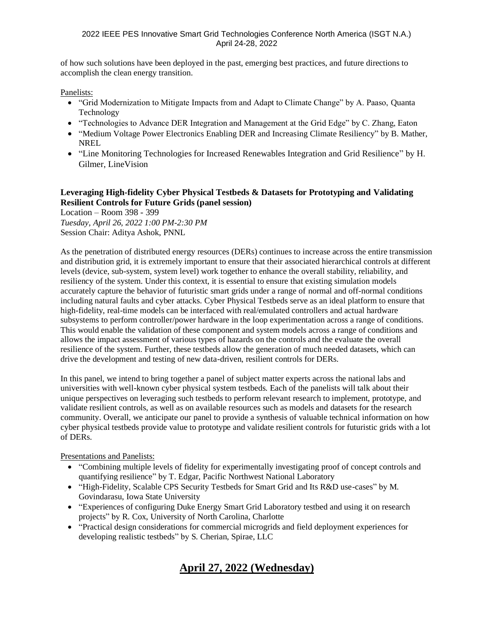of how such solutions have been deployed in the past, emerging best practices, and future directions to accomplish the clean energy transition.

Panelists:

- "Grid Modernization to Mitigate Impacts from and Adapt to Climate Change" by A. Paaso, Quanta Technology
- "Technologies to Advance DER Integration and Management at the Grid Edge" by C. Zhang, Eaton
- "Medium Voltage Power Electronics Enabling DER and Increasing Climate Resiliency" by B. Mather, NREL
- "Line Monitoring Technologies for Increased Renewables Integration and Grid Resilience" by H. Gilmer, LineVision

# **Leveraging High-fidelity Cyber Physical Testbeds & Datasets for Prototyping and Validating Resilient Controls for Future Grids (panel session)**

Location – Room 398 - 399 *Tuesday, April 26, 2022 1:00 PM-2:30 PM* Session Chair: Aditya Ashok, PNNL

As the penetration of distributed energy resources (DERs) continues to increase across the entire transmission and distribution grid, it is extremely important to ensure that their associated hierarchical controls at different levels (device, sub-system, system level) work together to enhance the overall stability, reliability, and resiliency of the system. Under this context, it is essential to ensure that existing simulation models accurately capture the behavior of futuristic smart grids under a range of normal and off-normal conditions including natural faults and cyber attacks. Cyber Physical Testbeds serve as an ideal platform to ensure that high-fidelity, real-time models can be interfaced with real/emulated controllers and actual hardware subsystems to perform controller/power hardware in the loop experimentation across a range of conditions. This would enable the validation of these component and system models across a range of conditions and allows the impact assessment of various types of hazards on the controls and the evaluate the overall resilience of the system. Further, these testbeds allow the generation of much needed datasets, which can drive the development and testing of new data-driven, resilient controls for DERs.

In this panel, we intend to bring together a panel of subject matter experts across the national labs and universities with well-known cyber physical system testbeds. Each of the panelists will talk about their unique perspectives on leveraging such testbeds to perform relevant research to implement, prototype, and validate resilient controls, as well as on available resources such as models and datasets for the research community. Overall, we anticipate our panel to provide a synthesis of valuable technical information on how cyber physical testbeds provide value to prototype and validate resilient controls for futuristic grids with a lot of DERs.

Presentations and Panelists:

- "Combining multiple levels of fidelity for experimentally investigating proof of concept controls and quantifying resilience" by T. Edgar, Pacific Northwest National Laboratory
- "High-Fidelity, Scalable CPS Security Testbeds for Smart Grid and Its R&D use-cases" by M. Govindarasu, Iowa State University
- "Experiences of configuring Duke Energy Smart Grid Laboratory testbed and using it on research projects" by R. Cox, University of North Carolina, Charlotte
- "Practical design considerations for commercial microgrids and field deployment experiences for developing realistic testbeds" by S. Cherian, Spirae, LLC

# **April 27, 2022 (Wednesday)**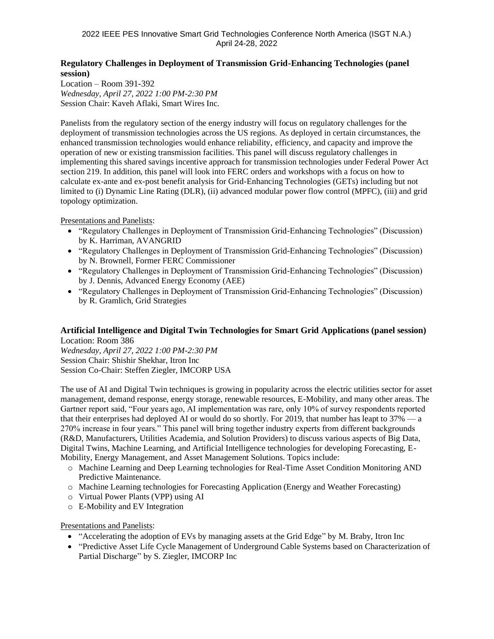### **Regulatory Challenges in Deployment of Transmission Grid-Enhancing Technologies (panel session)**

Location – Room 391-392 *Wednesday, April 27, 2022 1:00 PM-2:30 PM* Session Chair: Kaveh Aflaki, Smart Wires Inc.

Panelists from the regulatory section of the energy industry will focus on regulatory challenges for the deployment of transmission technologies across the US regions. As deployed in certain circumstances, the enhanced transmission technologies would enhance reliability, efficiency, and capacity and improve the operation of new or existing transmission facilities. This panel will discuss regulatory challenges in implementing this shared savings incentive approach for transmission technologies under Federal Power Act section 219. In addition, this panel will look into FERC orders and workshops with a focus on how to calculate ex-ante and ex-post benefit analysis for Grid-Enhancing Technologies (GETs) including but not limited to (i) Dynamic Line Rating (DLR), (ii) advanced modular power flow control (MPFC), (iii) and grid topology optimization.

Presentations and Panelists:

- "Regulatory Challenges in Deployment of Transmission Grid-Enhancing Technologies" (Discussion) by K. Harriman, AVANGRID
- "Regulatory Challenges in Deployment of Transmission Grid-Enhancing Technologies" (Discussion) by N. Brownell, Former FERC Commissioner
- "Regulatory Challenges in Deployment of Transmission Grid-Enhancing Technologies" (Discussion) by J. Dennis, Advanced Energy Economy (AEE)
- "Regulatory Challenges in Deployment of Transmission Grid-Enhancing Technologies" (Discussion) by R. Gramlich, Grid Strategies

#### **Artificial Intelligence and Digital Twin Technologies for Smart Grid Applications (panel session)** Location: Room 386

*Wednesday, April 27, 2022 1:00 PM-2:30 PM* Session Chair: Shishir Shekhar, Itron Inc Session Co-Chair: Steffen Ziegler, IMCORP USA

The use of AI and Digital Twin techniques is growing in popularity across the electric utilities sector for asset management, demand response, energy storage, renewable resources, E-Mobility, and many other areas. The Gartner report said, "Four years ago, AI implementation was rare, only 10% of survey respondents reported that their enterprises had deployed AI or would do so shortly. For 2019, that number has leapt to 37% — a 270% increase in four years." This panel will bring together industry experts from different backgrounds (R&D, Manufacturers, Utilities Academia, and Solution Providers) to discuss various aspects of Big Data, Digital Twins, Machine Learning, and Artificial Intelligence technologies for developing Forecasting, E-Mobility, Energy Management, and Asset Management Solutions. Topics include:

- o Machine Learning and Deep Learning technologies for Real-Time Asset Condition Monitoring AND Predictive Maintenance.
- o Machine Learning technologies for Forecasting Application (Energy and Weather Forecasting)
- o Virtual Power Plants (VPP) using AI
- o E-Mobility and EV Integration

### Presentations and Panelists:

- "Accelerating the adoption of EVs by managing assets at the Grid Edge" by M. Braby, Itron Inc
- "Predictive Asset Life Cycle Management of Underground Cable Systems based on Characterization of Partial Discharge" by S. Ziegler, IMCORP Inc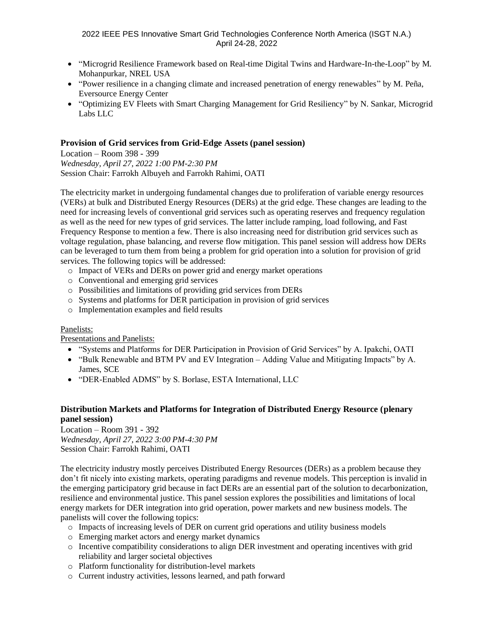- "Microgrid Resilience Framework based on Real-time Digital Twins and Hardware-In-the-Loop" by M. Mohanpurkar, NREL USA
- "Power resilience in a changing climate and increased penetration of energy renewables" by M. Peña, Eversource Energy Center
- "Optimizing EV Fleets with Smart Charging Management for Grid Resiliency" by N. Sankar, Microgrid Labs LLC

#### **Provision of Grid services from Grid-Edge Assets (panel session)**

Location – Room 398 - 399 *Wednesday, April 27, 2022 1:00 PM-2:30 PM* Session Chair: Farrokh Albuyeh and Farrokh Rahimi, OATI

The electricity market in undergoing fundamental changes due to proliferation of variable energy resources (VERs) at bulk and Distributed Energy Resources (DERs) at the grid edge. These changes are leading to the need for increasing levels of conventional grid services such as operating reserves and frequency regulation as well as the need for new types of grid services. The latter include ramping, load following, and Fast Frequency Response to mention a few. There is also increasing need for distribution grid services such as voltage regulation, phase balancing, and reverse flow mitigation. This panel session will address how DERs can be leveraged to turn them from being a problem for grid operation into a solution for provision of grid services. The following topics will be addressed:

- o Impact of VERs and DERs on power grid and energy market operations
- o Conventional and emerging grid services
- o Possibilities and limitations of providing grid services from DERs
- o Systems and platforms for DER participation in provision of grid services
- o Implementation examples and field results

#### Panelists:

Presentations and Panelists:

- "Systems and Platforms for DER Participation in Provision of Grid Services" by A. Ipakchi, OATI
- "Bulk Renewable and BTM PV and EV Integration Adding Value and Mitigating Impacts" by A. James, SCE
- "DER-Enabled ADMS" by S. Borlase, ESTA International, LLC

## **Distribution Markets and Platforms for Integration of Distributed Energy Resource (plenary panel session)**

Location – Room 391 - 392 *Wednesday, April 27, 2022 3:00 PM-4:30 PM* Session Chair: Farrokh Rahimi, OATI

The electricity industry mostly perceives Distributed Energy Resources (DERs) as a problem because they don't fit nicely into existing markets, operating paradigms and revenue models. This perception is invalid in the emerging participatory grid because in fact DERs are an essential part of the solution to decarbonization, resilience and environmental justice. This panel session explores the possibilities and limitations of local energy markets for DER integration into grid operation, power markets and new business models. The panelists will cover the following topics:

- o Impacts of increasing levels of DER on current grid operations and utility business models
- o Emerging market actors and energy market dynamics
- $\circ$  Incentive compatibility considerations to align DER investment and operating incentives with grid reliability and larger societal objectives
- o Platform functionality for distribution-level markets
- o Current industry activities, lessons learned, and path forward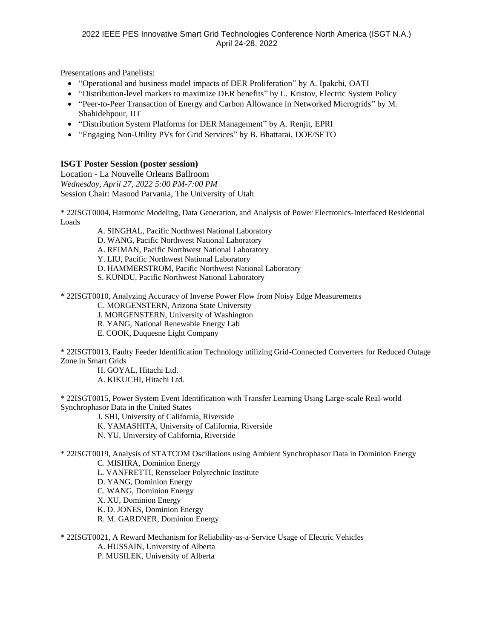Presentations and Panelists:

- "Operational and business model impacts of DER Proliferation" by A. Ipakchi, OATI
- "Distribution-level markets to maximize DER benefits" by L. Kristov, Electric System Policy
- "Peer-to-Peer Transaction of Energy and Carbon Allowance in Networked Microgrids" by M. Shahidehpour, IIT
- "Distribution System Platforms for DER Management" by A. Renjit, EPRI
- "Engaging Non-Utility PVs for Grid Services" by B. Bhattarai, DOE/SETO

### **ISGT Poster Session (poster session)**

Location - La Nouvelle Orleans Ballroom *Wednesday, April 27, 2022 5:00 PM-7:00 PM* Session Chair: Masood Parvania, The University of Utah

\* 22ISGT0004, Harmonic Modeling, Data Generation, and Analysis of Power Electronics-Interfaced Residential Loads

A. SINGHAL, Pacific Northwest National Laboratory

D. WANG, Pacific Northwest National Laboratory

A. REIMAN, Pacific Northwest National Laboratory

Y. LIU, Pacific Northwest National Laboratory

D. HAMMERSTROM, Pacific Northwest National Laboratory

S. KUNDU, Pacific Northwest National Laboratory

\* 22ISGT0010, Analyzing Accuracy of Inverse Power Flow from Noisy Edge Measurements

C. MORGENSTERN, Arizona State University

J. MORGENSTERN, University of Washington

R. YANG, National Renewable Energy Lab

E. COOK, Duquesne Light Company

\* 22ISGT0013, Faulty Feeder Identification Technology utilizing Grid-Connected Converters for Reduced Outage Zone in Smart Grids

H. GOYAL, Hitachi Ltd.

A. KIKUCHI, Hitachi Ltd.

\* 22ISGT0015, Power System Event Identification with Transfer Learning Using Large-scale Real-world Synchrophasor Data in the United States

J. SHI, University of California, Riverside

K. YAMASHITA, University of California, Riverside

N. YU, University of California, Riverside

\* 22ISGT0019, Analysis of STATCOM Oscillations using Ambient Synchrophasor Data in Dominion Energy C. MISHRA, Dominion Energy

L. VANFRETTI, Rensselaer Polytechnic Institute

D. YANG, Dominion Energy

C. WANG, Dominion Energy

X. XU, Dominion Energy

K. D. JONES, Dominion Energy

R. M. GARDNER, Dominion Energy

\* 22ISGT0021, A Reward Mechanism for Reliability-as-a-Service Usage of Electric Vehicles A. HUSSAIN, University of Alberta P. MUSILEK, University of Alberta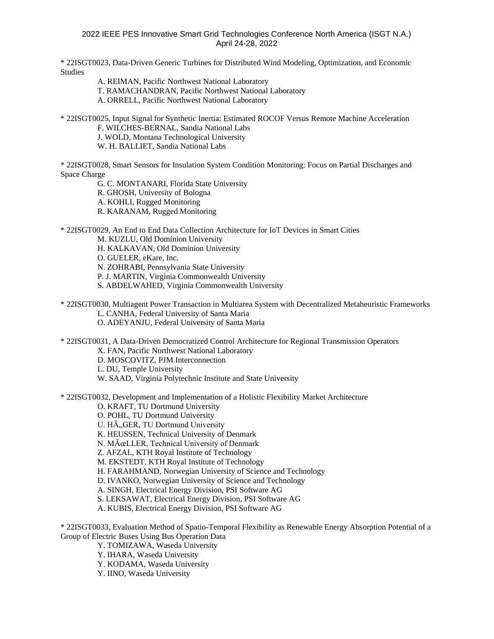\* 22ISGT0023, Data-Driven Generic Turbines for Distributed Wind Modeling, Optimization, and Economic Studies

- A. REIMAN, Pacific Northwest National Laboratory
- T. RAMACHANDRAN, Pacific Northwest National Laboratory
- A. ORRELL, Pacific Northwest National Laboratory

\* 22ISGT0025, Input Signal for Synthetic Inertia: Estimated ROCOF Versus Remote Machine Acceleration

F. WILCHES-BERNAL, Sandia National Labs

J. WOLD, Montana Technological University

W. H. BALLIET, Sandia National Labs

\* 22ISGT0028, Smart Sensors for Insulation System Condition Monitoring: Focus on Partial Discharges and Space Charge

G. C. MONTANARI, Florida State University

R. GHOSH, University of Bologna

A. KOHLI, Rugged Monitoring

R. KARANAM, Rugged Monitoring

\* 22ISGT0029, An End to End Data Collection Architecture for IoT Devices in Smart Cities

M. KUZLU, Old Dominion University

H. KALKAVAN, Old Dominion University

O. GUELER, eKare, Inc.

N. ZOHRABI, Pennsylvania State University

P. J. MARTIN, Virginia Commonwealth University

S. ABDELWAHED, Virginia Commonwealth University

\* 22ISGT0030, Multiagent Power Transaction in Multiarea System with Decentralized Metaheuristic Frameworks L. CANHA, Federal University of Santa Maria

O. ADEYANJU, Federal University of Santa Maria

\* 22ISGT0031, A Data-Driven Democratized Control Architecture for Regional Transmission Operators

X. FAN, Pacific Northwest National Laboratory

D. MOSCOVITZ, PJM Interconnection

L. DU, Temple University

W. SAAD, Virginia Polytechnic Institute and State University

\* 22ISGT0032, Development and Implementation of a Holistic Flexibility Market Architecture

O. KRAFT, TU Dortmund University

O. POHL, TU Dortmund University

U. HÃ, GER, TU Dortmund University

K. HEUSSEN, Technical University of Denmark

N. MÜLLER, Technical University of Denmark

Z. AFZAL, KTH Royal Institute of Technology

M. EKSTEDT, KTH Royal Institute of Technology

H. FARAHMAND, Norwegian University of Science and Technology

D. IVANKO, Norwegian University of Science and Technology

A. SINGH, Electrical Energy Division, PSI Software AG

S. LEKSAWAT, Electrical Energy Division, PSI Software AG

A. KUBIS, Electrical Energy Division, PSI Software AG

\* 22ISGT0033, Evaluation Method of Spatio-Temporal Flexibility as Renewable Energy Absorption Potential of a Group of Electric Buses Using Bus Operation Data

Y. TOMIZAWA, Waseda University

Y. IHARA, Waseda University

Y. KODAMA, Waseda University

Y. IINO, Waseda University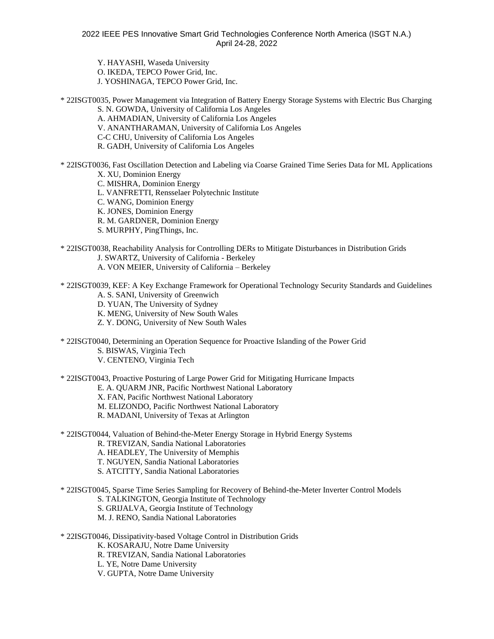Y. HAYASHI, Waseda University

O. IKEDA, TEPCO Power Grid, Inc.

J. YOSHINAGA, TEPCO Power Grid, Inc.

- \* 22ISGT0035, Power Management via Integration of Battery Energy Storage Systems with Electric Bus Charging
	- S. N. GOWDA, University of California Los Angeles
	- A. AHMADIAN, University of California Los Angeles
	- V. ANANTHARAMAN, University of California Los Angeles
	- C-C CHU, University of California Los Angeles
	- R. GADH, University of California Los Angeles
- \* 22ISGT0036, Fast Oscillation Detection and Labeling via Coarse Grained Time Series Data for ML Applications X. XU, Dominion Energy
	- C. MISHRA, Dominion Energy
	- L. VANFRETTI, Rensselaer Polytechnic Institute
	- C. WANG, Dominion Energy
	- K. JONES, Dominion Energy
	- R. M. GARDNER, Dominion Energy
	- S. MURPHY, PingThings, Inc.
- \* 22ISGT0038, Reachability Analysis for Controlling DERs to Mitigate Disturbances in Distribution Grids J. SWARTZ, University of California - Berkeley
	- A. VON MEIER, University of California Berkeley
- \* 22ISGT0039, KEF: A Key Exchange Framework for Operational Technology Security Standards and Guidelines
	- A. S. SANI, University of Greenwich
	- D. YUAN, The University of Sydney
	- K. MENG, University of New South Wales
	- Z. Y. DONG, University of New South Wales
- \* 22ISGT0040, Determining an Operation Sequence for Proactive Islanding of the Power Grid
	- S. BISWAS, Virginia Tech
	- V. CENTENO, Virginia Tech
- \* 22ISGT0043, Proactive Posturing of Large Power Grid for Mitigating Hurricane Impacts
	- E. A. QUARM JNR, Pacific Northwest National Laboratory
	- X. FAN, Pacific Northwest National Laboratory
	- M. ELIZONDO, Pacific Northwest National Laboratory
	- R. MADANI, University of Texas at Arlington
- \* 22ISGT0044, Valuation of Behind-the-Meter Energy Storage in Hybrid Energy Systems
	- R. TREVIZAN, Sandia National Laboratories
	- A. HEADLEY, The University of Memphis
	- T. NGUYEN, Sandia National Laboratories
	- S. ATCITTY, Sandia National Laboratories
- \* 22ISGT0045, Sparse Time Series Sampling for Recovery of Behind-the-Meter Inverter Control Models
	- S. TALKINGTON, Georgia Institute of Technology
	- S. GRIJALVA, Georgia Institute of Technology
	- M. J. RENO, Sandia National Laboratories
- \* 22ISGT0046, Dissipativity-based Voltage Control in Distribution Grids
	- K. KOSARAJU, Notre Dame University
	- R. TREVIZAN, Sandia National Laboratories
	- L. YE, Notre Dame University
	- V. GUPTA, Notre Dame University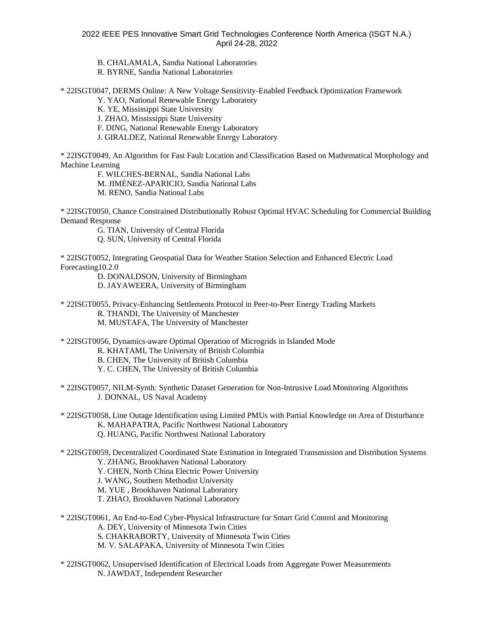B. CHALAMALA, Sandia National Laboratories R. BYRNE, Sandia National Laboratories

\* 22ISGT0047, DERMS Online: A New Voltage Sensitivity-Enabled Feedback Optimization Framework

Y. YAO, National Renewable Energy Laboratory

K. YE, Mississippi State University

J. ZHAO, Mississippi State University

F. DING, National Renewable Energy Laboratory

J. GIRALDEZ, National Renewable Energy Laboratory

\* 22ISGT0049, An Algorithm for Fast Fault Location and Classification Based on Mathematical Morphology and Machine Learning

F. WILCHES-BERNAL, Sandia National Labs

M. JIMÉNEZ-APARICIO, Sandia National Labs

M. RENO, Sandia National Labs

\* 22ISGT0050, Chance Constrained Distributionally Robust Optimal HVAC Scheduling for Commercial Building Demand Response

G. TIAN, University of Central Florida

Q. SUN, University of Central Florida

\* 22ISGT0052, Integrating Geospatial Data for Weather Station Selection and Enhanced Electric Load Forecasting10.2.0

> D. DONALDSON, University of Birmingham D. JAYAWEERA, University of Birmingham

- \* 22ISGT0055, Privacy-Enhancing Settlements Protocol in Peer-to-Peer Energy Trading Markets R. THANDI, The University of Manchester M. MUSTAFA, The University of Manchester
- \* 22ISGT0056, Dynamics-aware Optimal Operation of Microgrids in Islanded Mode

R. KHATAMI, The University of British Columbia

B. CHEN, The University of British Columbia

- Y. C. CHEN, The University of British Columbia
- \* 22ISGT0057, NILM-Synth: Synthetic Dataset Generation for Non-Intrusive Load Monitoring Algorithms J. DONNAL, US Naval Academy
- \* 22ISGT0058, Line Outage Identification using Limited PMUs with Partial Knowledge on Area of Disturbance K. MAHAPATRA, Pacific Northwest National Laboratory Q. HUANG, Pacific Northwest National Laboratory

\* 22ISGT0059, Decentralized Coordinated State Estimation in Integrated Transmission and Distribution Systems Y. ZHANG, Brookhaven National Laboratory

Y. CHEN, North China Electric Power University

J. WANG, Southern Methodist University

M. YUE , Brookhaven National Laboratory

T. ZHAO, Brookhaven National Laboratory

- \* 22ISGT0061, An End-to-End Cyber-Physical Infrastructure for Smart Grid Control and Monitoring A. DEY, University of Minnesota Twin Cities S. CHAKRABORTY, University of Minnesota Twin Cities M. V. SALAPAKA, University of Minnesota Twin Cities
- \* 22ISGT0062, Unsupervised Identification of Electrical Loads from Aggregate Power Measurements N. JAWDAT, Independent Researcher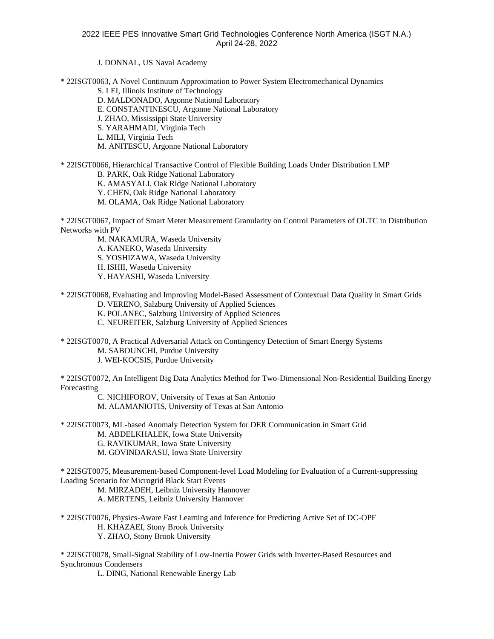J. DONNAL, US Naval Academy

\* 22ISGT0063, A Novel Continuum Approximation to Power System Electromechanical Dynamics

S. LEI, Illinois Institute of Technology

D. MALDONADO, Argonne National Laboratory

E. CONSTANTINESCU, Argonne National Laboratory

J. ZHAO, Mississippi State University

S. YARAHMADI, Virginia Tech

L. MILI, Virginia Tech

M. ANITESCU, Argonne National Laboratory

\* 22ISGT0066, Hierarchical Transactive Control of Flexible Building Loads Under Distribution LMP

B. PARK, Oak Ridge National Laboratory

K. AMASYALI, Oak Ridge National Laboratory

Y. CHEN, Oak Ridge National Laboratory

M. OLAMA, Oak Ridge National Laboratory

\* 22ISGT0067, Impact of Smart Meter Measurement Granularity on Control Parameters of OLTC in Distribution Networks with PV

M. NAKAMURA, Waseda University

A. KANEKO, Waseda University

S. YOSHIZAWA, Waseda University

H. ISHII, Waseda University

Y. HAYASHI, Waseda University

\* 22ISGT0068, Evaluating and Improving Model-Based Assessment of Contextual Data Quality in Smart Grids

D. VERENO, Salzburg University of Applied Sciences

K. POLANEC, Salzburg University of Applied Sciences

C. NEUREITER, Salzburg University of Applied Sciences

\* 22ISGT0070, A Practical Adversarial Attack on Contingency Detection of Smart Energy Systems M. SABOUNCHI, Purdue University J. WEI-KOCSIS, Purdue University

\* 22ISGT0072, An Intelligent Big Data Analytics Method for Two-Dimensional Non-Residential Building Energy Forecasting

> C. NICHIFOROV, University of Texas at San Antonio M. ALAMANIOTIS, University of Texas at San Antonio

\* 22ISGT0073, ML-based Anomaly Detection System for DER Communication in Smart Grid M. ABDELKHALEK, Iowa State University G. RAVIKUMAR, Iowa State University M. GOVINDARASU, Iowa State University

\* 22ISGT0075, Measurement-based Component-level Load Modeling for Evaluation of a Current-suppressing Loading Scenario for Microgrid Black Start Events

M. MIRZADEH, Leibniz University Hannover

A. MERTENS, Leibniz University Hannover

\* 22ISGT0076, Physics-Aware Fast Learning and Inference for Predicting Active Set of DC-OPF H. KHAZAEI, Stony Brook University Y. ZHAO, Stony Brook University

\* 22ISGT0078, Small-Signal Stability of Low-Inertia Power Grids with Inverter-Based Resources and Synchronous Condensers

L. DING, National Renewable Energy Lab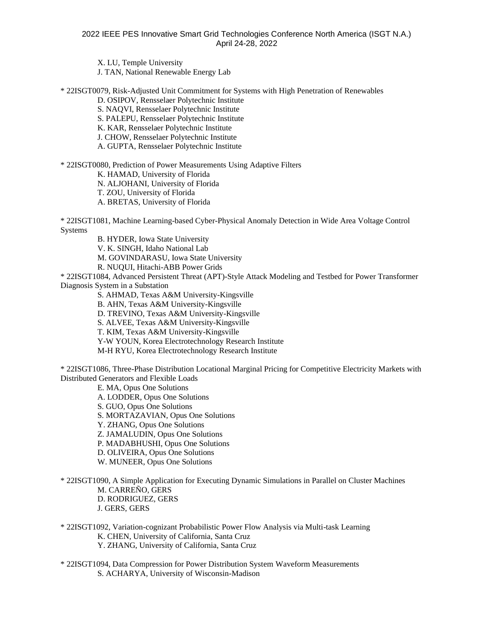X. LU, Temple University

J. TAN, National Renewable Energy Lab

\* 22ISGT0079, Risk-Adjusted Unit Commitment for Systems with High Penetration of Renewables

D. OSIPOV, Rensselaer Polytechnic Institute

S. NAQVI, Rensselaer Polytechnic Institute

S. PALEPU, Rensselaer Polytechnic Institute

K. KAR, Rensselaer Polytechnic Institute

J. CHOW, Rensselaer Polytechnic Institute

A. GUPTA, Rensselaer Polytechnic Institute

\* 22ISGT0080, Prediction of Power Measurements Using Adaptive Filters

K. HAMAD, University of Florida

N. ALJOHANI, University of Florida

T. ZOU, University of Florida

A. BRETAS, University of Florida

\* 22ISGT1081, Machine Learning-based Cyber-Physical Anomaly Detection in Wide Area Voltage Control Systems

B. HYDER, Iowa State University

V. K. SINGH, Idaho National Lab

M. GOVINDARASU, Iowa State University

R. NUQUI, Hitachi-ABB Power Grids

\* 22ISGT1084, Advanced Persistent Threat (APT)-Style Attack Modeling and Testbed for Power Transformer Diagnosis System in a Substation

S. AHMAD, Texas A&M University-Kingsville

B. AHN, Texas A&M University-Kingsville

D. TREVINO, Texas A&M University-Kingsville

S. ALVEE, Texas A&M University-Kingsville

T. KIM, Texas A&M University-Kingsville

Y-W YOUN, Korea Electrotechnology Research Institute

M-H RYU, Korea Electrotechnology Research Institute

\* 22ISGT1086, Three-Phase Distribution Locational Marginal Pricing for Competitive Electricity Markets with Distributed Generators and Flexible Loads

> E. MA, Opus One Solutions A. LODDER, Opus One Solutions S. GUO, Opus One Solutions S. MORTAZAVIAN, Opus One Solutions Y. ZHANG, Opus One Solutions Z. JAMALUDIN, Opus One Solutions P. MADABHUSHI, Opus One Solutions D. OLIVEIRA, Opus One Solutions W. MUNEER, Opus One Solutions

\* 22ISGT1090, A Simple Application for Executing Dynamic Simulations in Parallel on Cluster Machines M. CARREÑO, GERS

D. RODRIGUEZ, GERS

J. GERS, GERS

- \* 22ISGT1092, Variation-cognizant Probabilistic Power Flow Analysis via Multi-task Learning K. CHEN, University of California, Santa Cruz Y. ZHANG, University of California, Santa Cruz
- \* 22ISGT1094, Data Compression for Power Distribution System Waveform Measurements S. ACHARYA, University of Wisconsin-Madison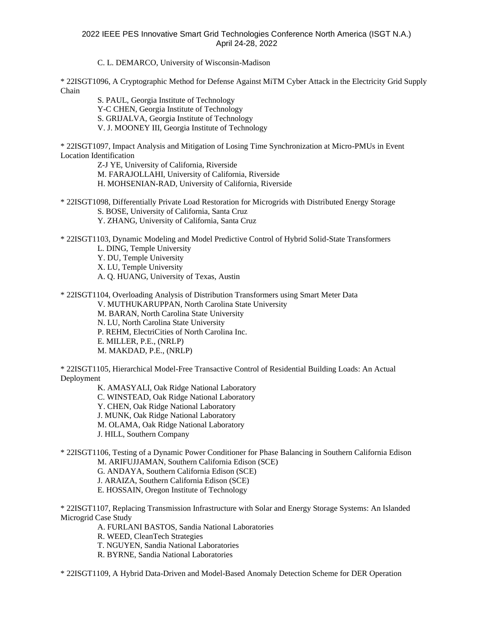C. L. DEMARCO, University of Wisconsin-Madison

\* 22ISGT1096, A Cryptographic Method for Defense Against MiTM Cyber Attack in the Electricity Grid Supply Chain

> S. PAUL, Georgia Institute of Technology Y-C CHEN, Georgia Institute of Technology S. GRIJALVA, Georgia Institute of Technology V. J. MOONEY III, Georgia Institute of Technology

\* 22ISGT1097, Impact Analysis and Mitigation of Losing Time Synchronization at Micro-PMUs in Event Location Identification

> Z-J YE, University of California, Riverside M. FARAJOLLAHI, University of California, Riverside H. MOHSENIAN-RAD, University of California, Riverside

\* 22ISGT1098, Differentially Private Load Restoration for Microgrids with Distributed Energy Storage S. BOSE, University of California, Santa Cruz Y. ZHANG, University of California, Santa Cruz

\* 22ISGT1103, Dynamic Modeling and Model Predictive Control of Hybrid Solid-State Transformers

L. DING, Temple University

Y. DU, Temple University

X. LU, Temple University

A. Q. HUANG, University of Texas, Austin

\* 22ISGT1104, Overloading Analysis of Distribution Transformers using Smart Meter Data

V. MUTHUKARUPPAN, North Carolina State University

M. BARAN, North Carolina State University

N. LU, North Carolina State University

P. REHM, ElectriCities of North Carolina Inc.

E. MILLER, P.E., (NRLP)

M. MAKDAD, P.E., (NRLP)

\* 22ISGT1105, Hierarchical Model-Free Transactive Control of Residential Building Loads: An Actual Deployment

K. AMASYALI, Oak Ridge National Laboratory

C. WINSTEAD, Oak Ridge National Laboratory

Y. CHEN, Oak Ridge National Laboratory

J. MUNK, Oak Ridge National Laboratory

M. OLAMA, Oak Ridge National Laboratory

J. HILL, Southern Company

\* 22ISGT1106, Testing of a Dynamic Power Conditioner for Phase Balancing in Southern California Edison M. ARIFUJJAMAN, Southern California Edison (SCE)

G. ANDAYA, Southern California Edison (SCE)

J. ARAIZA, Southern California Edison (SCE)

E. HOSSAIN, Oregon Institute of Technology

\* 22ISGT1107, Replacing Transmission Infrastructure with Solar and Energy Storage Systems: An Islanded Microgrid Case Study

A. FURLANI BASTOS, Sandia National Laboratories

R. WEED, CleanTech Strategies

T. NGUYEN, Sandia National Laboratories

R. BYRNE, Sandia National Laboratories

\* 22ISGT1109, A Hybrid Data-Driven and Model-Based Anomaly Detection Scheme for DER Operation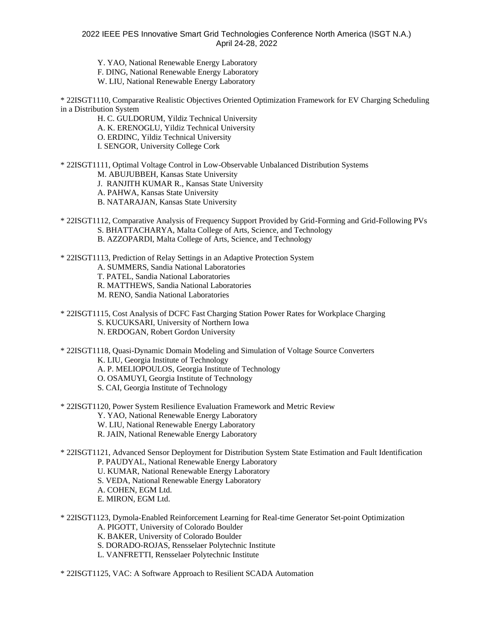- Y. YAO, National Renewable Energy Laboratory
- F. DING, National Renewable Energy Laboratory
- W. LIU, National Renewable Energy Laboratory

\* 22ISGT1110, Comparative Realistic Objectives Oriented Optimization Framework for EV Charging Scheduling in a Distribution System

H. C. GULDORUM, Yildiz Technical University A. K. ERENOGLU, Yildiz Technical University O. ERDINC, Yildiz Technical University I. SENGOR, University College Cork

\* 22ISGT1111, Optimal Voltage Control in Low-Observable Unbalanced Distribution Systems

M. ABUJUBBEH, Kansas State University

J. RANJITH KUMAR R., Kansas State University

- A. PAHWA, Kansas State University
- B. NATARAJAN, Kansas State University
- \* 22ISGT1112, Comparative Analysis of Frequency Support Provided by Grid-Forming and Grid-Following PVs S. BHATTACHARYA, Malta College of Arts, Science, and Technology B. AZZOPARDI, Malta College of Arts, Science, and Technology

\* 22ISGT1113, Prediction of Relay Settings in an Adaptive Protection System

- A. SUMMERS, Sandia National Laboratories
- T. PATEL, Sandia National Laboratories
- R. MATTHEWS, Sandia National Laboratories
- M. RENO, Sandia National Laboratories
- \* 22ISGT1115, Cost Analysis of DCFC Fast Charging Station Power Rates for Workplace Charging S. KUCUKSARI, University of Northern Iowa N. ERDOGAN, Robert Gordon University
- \* 22ISGT1118, Quasi-Dynamic Domain Modeling and Simulation of Voltage Source Converters

K. LIU, Georgia Institute of Technology

- A. P. MELIOPOULOS, Georgia Institute of Technology
- O. OSAMUYI, Georgia Institute of Technology
- S. CAI, Georgia Institute of Technology
- \* 22ISGT1120, Power System Resilience Evaluation Framework and Metric Review
	- Y. YAO, National Renewable Energy Laboratory
	- W. LIU, National Renewable Energy Laboratory
	- R. JAIN, National Renewable Energy Laboratory

\* 22ISGT1121, Advanced Sensor Deployment for Distribution System State Estimation and Fault Identification P. PAUDYAL, National Renewable Energy Laboratory

U. KUMAR, National Renewable Energy Laboratory

- S. VEDA, National Renewable Energy Laboratory
- A. COHEN, EGM Ltd.
- E. MIRON, EGM Ltd.
- \* 22ISGT1123, Dymola-Enabled Reinforcement Learning for Real-time Generator Set-point Optimization A. PIGOTT, University of Colorado Boulder
	- K. BAKER, University of Colorado Boulder
	- S. DORADO-ROJAS, Rensselaer Polytechnic Institute
	- L. VANFRETTI, Rensselaer Polytechnic Institute
- \* 22ISGT1125, VAC: A Software Approach to Resilient SCADA Automation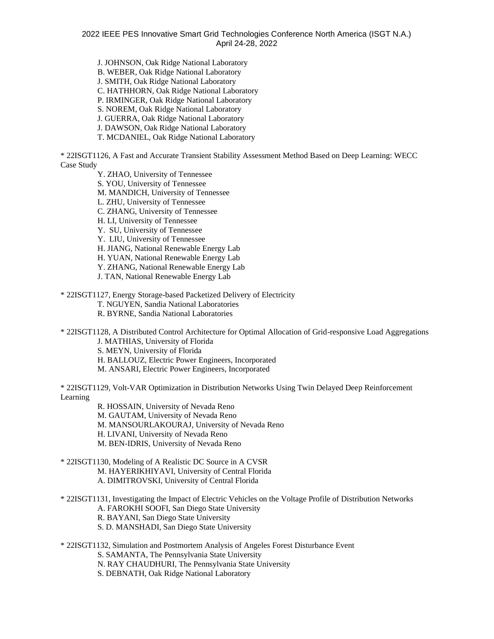J. JOHNSON, Oak Ridge National Laboratory B. WEBER, Oak Ridge National Laboratory J. SMITH, Oak Ridge National Laboratory C. HATHHORN, Oak Ridge National Laboratory P. IRMINGER, Oak Ridge National Laboratory S. NOREM, Oak Ridge National Laboratory J. GUERRA, Oak Ridge National Laboratory J. DAWSON, Oak Ridge National Laboratory T. MCDANIEL, Oak Ridge National Laboratory

\* 22ISGT1126, A Fast and Accurate Transient Stability Assessment Method Based on Deep Learning: WECC Case Study

Y. ZHAO, University of Tennessee

S. YOU, University of Tennessee

M. MANDICH, University of Tennessee

L. ZHU, University of Tennessee

C. ZHANG, University of Tennessee

H. LI, University of Tennessee

Y. SU, University of Tennessee

Y. LIU, University of Tennessee

H. JIANG, National Renewable Energy Lab

H. YUAN, National Renewable Energy Lab

Y. ZHANG, National Renewable Energy Lab

J. TAN, National Renewable Energy Lab

\* 22ISGT1127, Energy Storage-based Packetized Delivery of Electricity

T. NGUYEN, Sandia National Laboratories

R. BYRNE, Sandia National Laboratories

\* 22ISGT1128, A Distributed Control Architecture for Optimal Allocation of Grid-responsive Load Aggregations

J. MATHIAS, University of Florida

S. MEYN, University of Florida

H. BALLOUZ, Electric Power Engineers, Incorporated

M. ANSARI, Electric Power Engineers, Incorporated

\* 22ISGT1129, Volt-VAR Optimization in Distribution Networks Using Twin Delayed Deep Reinforcement Learning

R. HOSSAIN, University of Nevada Reno

M. GAUTAM, University of Nevada Reno

M. MANSOURLAKOURAJ, University of Nevada Reno

H. LIVANI, University of Nevada Reno

M. BEN-IDRIS, University of Nevada Reno

\* 22ISGT1130, Modeling of A Realistic DC Source in A CVSR M. HAYERIKHIYAVI, University of Central Florida A. DIMITROVSKI, University of Central Florida

\* 22ISGT1131, Investigating the Impact of Electric Vehicles on the Voltage Profile of Distribution Networks

A. FAROKHI SOOFI, San Diego State University

R. BAYANI, San Diego State University

S. D. MANSHADI, San Diego State University

\* 22ISGT1132, Simulation and Postmortem Analysis of Angeles Forest Disturbance Event

S. SAMANTA, The Pennsylvania State University

N. RAY CHAUDHURI, The Pennsylvania State University

S. DEBNATH, Oak Ridge National Laboratory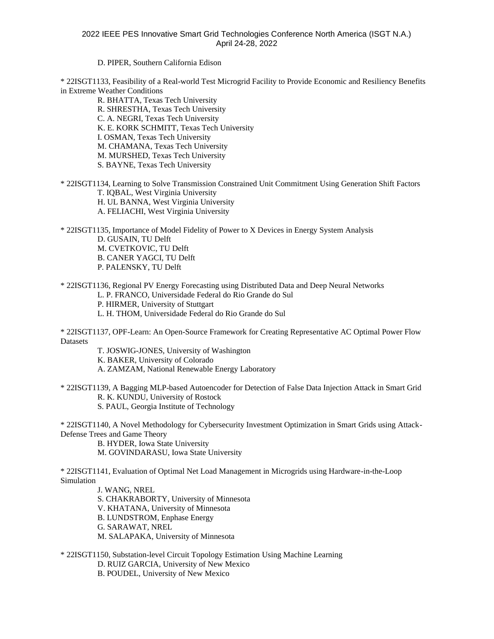#### D. PIPER, Southern California Edison

\* 22ISGT1133, Feasibility of a Real-world Test Microgrid Facility to Provide Economic and Resiliency Benefits in Extreme Weather Conditions

> R. BHATTA, Texas Tech University R. SHRESTHA, Texas Tech University C. A. NEGRI, Texas Tech University K. E. KORK SCHMITT, Texas Tech University I. OSMAN, Texas Tech University M. CHAMANA, Texas Tech University M. MURSHED, Texas Tech University S. BAYNE, Texas Tech University

\* 22ISGT1134, Learning to Solve Transmission Constrained Unit Commitment Using Generation Shift Factors T. IQBAL, West Virginia University

H. UL BANNA, West Virginia University

A. FELIACHI, West Virginia University

\* 22ISGT1135, Importance of Model Fidelity of Power to X Devices in Energy System Analysis

D. GUSAIN, TU Delft M. CVETKOVIC, TU Delft B. CANER YAGCI, TU Delft P. PALENSKY, TU Delft

\* 22ISGT1136, Regional PV Energy Forecasting using Distributed Data and Deep Neural Networks L. P. FRANCO, Universidade Federal do Rio Grande do Sul P. HIRMER, University of Stuttgart L. H. THOM, Universidade Federal do Rio Grande do Sul

\* 22ISGT1137, OPF-Learn: An Open-Source Framework for Creating Representative AC Optimal Power Flow Datasets

T. JOSWIG-JONES, University of Washington

K. BAKER, University of Colorado

A. ZAMZAM, National Renewable Energy Laboratory

\* 22ISGT1139, A Bagging MLP-based Autoencoder for Detection of False Data Injection Attack in Smart Grid R. K. KUNDU, University of Rostock S. PAUL, Georgia Institute of Technology

\* 22ISGT1140, A Novel Methodology for Cybersecurity Investment Optimization in Smart Grids using Attack-Defense Trees and Game Theory

> B. HYDER, Iowa State University M. GOVINDARASU, Iowa State University

\* 22ISGT1141, Evaluation of Optimal Net Load Management in Microgrids using Hardware-in-the-Loop Simulation

> J. WANG, NREL S. CHAKRABORTY, University of Minnesota V. KHATANA, University of Minnesota B. LUNDSTROM, Enphase Energy G. SARAWAT, NREL M. SALAPAKA, University of Minnesota

\* 22ISGT1150, Substation-level Circuit Topology Estimation Using Machine Learning D. RUIZ GARCIA, University of New Mexico

B. POUDEL, University of New Mexico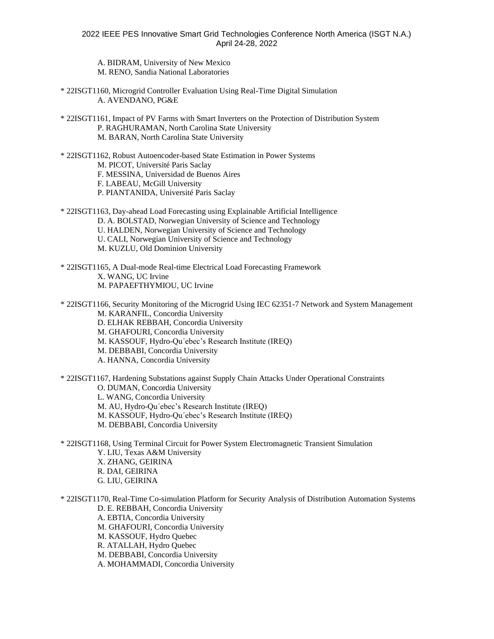A. BIDRAM, University of New Mexico M. RENO, Sandia National Laboratories

- \* 22ISGT1160, Microgrid Controller Evaluation Using Real-Time Digital Simulation A. AVENDANO, PG&E
- \* 22ISGT1161, Impact of PV Farms with Smart Inverters on the Protection of Distribution System P. RAGHURAMAN, North Carolina State University M. BARAN, North Carolina State University
- \* 22ISGT1162, Robust Autoencoder-based State Estimation in Power Systems M. PICOT, Université Paris Saclay F. MESSINA, Universidad de Buenos Aires F. LABEAU, McGill University P. PIANTANIDA, Université Paris Saclay

\* 22ISGT1163, Day-ahead Load Forecasting using Explainable Artificial Intelligence D. A. BOLSTAD, Norwegian University of Science and Technology U. HALDEN, Norwegian University of Science and Technology U. CALI, Norwegian University of Science and Technology M. KUZLU, Old Dominion University

\* 22ISGT1165, A Dual-mode Real-time Electrical Load Forecasting Framework X. WANG, UC Irvine M. PAPAEFTHYMIOU, UC Irvine

- \* 22ISGT1166, Security Monitoring of the Microgrid Using IEC 62351-7 Network and System Management M. KARANFIL, Concordia University
	- D. ELHAK REBBAH, Concordia University
	- M. GHAFOURI, Concordia University
	- M. KASSOUF, Hydro-Qu´ebec's Research Institute (IREQ)
	- M. DEBBABI, Concordia University
	- A. HANNA, Concordia University

\* 22ISGT1167, Hardening Substations against Supply Chain Attacks Under Operational Constraints

- O. DUMAN, Concordia University
- L. WANG, Concordia University
- M. AU, Hydro-Qu´ebec's Research Institute (IREQ)
- M. KASSOUF, Hydro-Qu´ebec's Research Institute (IREQ)
- M. DEBBABI, Concordia University
- \* 22ISGT1168, Using Terminal Circuit for Power System Electromagnetic Transient Simulation
	- Y. LIU, Texas A&M University X. ZHANG, GEIRINA R. DAI, GEIRINA G. LIU, GEIRINA

\* 22ISGT1170, Real-Time Co-simulation Platform for Security Analysis of Distribution Automation Systems

- D. E. REBBAH, Concordia University
- A. EBTIA, Concordia University
- M. GHAFOURI, Concordia University
- M. KASSOUF, Hydro Quebec

R. ATALLAH, Hydro Quebec

M. DEBBABI, Concordia University

A. MOHAMMADI, Concordia University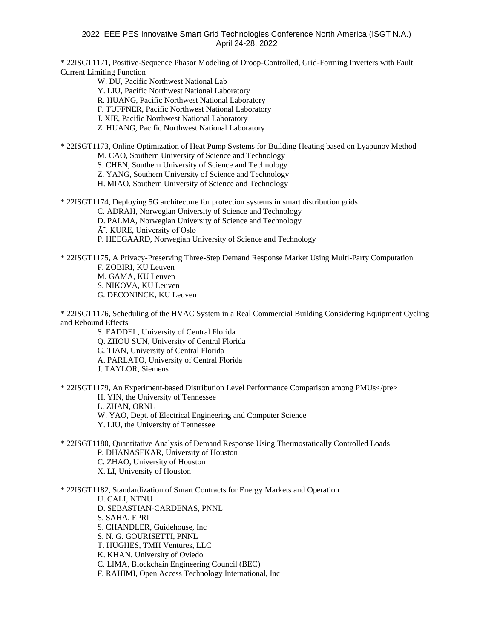\* 22ISGT1171, Positive-Sequence Phasor Modeling of Droop-Controlled, Grid-Forming Inverters with Fault Current Limiting Function

W. DU, Pacific Northwest National Lab

Y. LIU, Pacific Northwest National Laboratory

R. HUANG, Pacific Northwest National Laboratory

F. TUFFNER, Pacific Northwest National Laboratory

J. XIE, Pacific Northwest National Laboratory

Z. HUANG, Pacific Northwest National Laboratory

\* 22ISGT1173, Online Optimization of Heat Pump Systems for Building Heating based on Lyapunov Method

M. CAO, Southern University of Science and Technology

S. CHEN, Southern University of Science and Technology

Z. YANG, Southern University of Science and Technology

H. MIAO, Southern University of Science and Technology

\* 22ISGT1174, Deploying 5G architecture for protection systems in smart distribution grids

C. ADRAH, Norwegian University of Science and Technology

D. PALMA, Norwegian University of Science and Technology

Ø. KURE, University of Oslo

P. HEEGAARD, Norwegian University of Science and Technology

\* 22ISGT1175, A Privacy-Preserving Three-Step Demand Response Market Using Multi-Party Computation F. ZOBIRI, KU Leuven M. GAMA, KU Leuven S. NIKOVA, KU Leuven

G. DECONINCK, KU Leuven

\* 22ISGT1176, Scheduling of the HVAC System in a Real Commercial Building Considering Equipment Cycling and Rebound Effects

S. FADDEL, University of Central Florida Q. ZHOU SUN, University of Central Florida G. TIAN, University of Central Florida A. PARLATO, University of Central Florida

J. TAYLOR, Siemens

\* 22ISGT1179, An Experiment-based Distribution Level Performance Comparison among PMUs</pre>

H. YIN, the University of Tennessee

L. ZHAN, ORNL

W. YAO, Dept. of Electrical Engineering and Computer Science

Y. LIU, the University of Tennessee

\* 22ISGT1180, Quantitative Analysis of Demand Response Using Thermostatically Controlled Loads

P. DHANASEKAR, University of Houston

C. ZHAO, University of Houston

X. LI, University of Houston

\* 22ISGT1182, Standardization of Smart Contracts for Energy Markets and Operation

U. CALI, NTNU

D. SEBASTIAN-CARDENAS, PNNL

S. SAHA, EPRI

S. CHANDLER, Guidehouse, Inc

S. N. G. GOURISETTI, PNNL

T. HUGHES, TMH Ventures, LLC

K. KHAN, University of Oviedo

C. LIMA, Blockchain Engineering Council (BEC)

F. RAHIMI, Open Access Technology International, Inc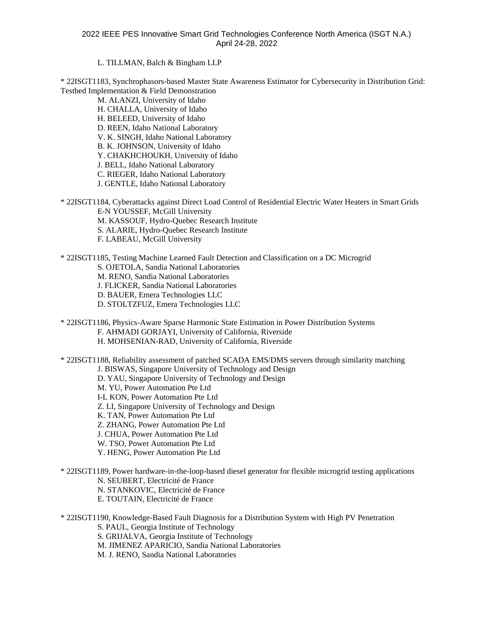#### L. TILLMAN, Balch & Bingham LLP

\* 22ISGT1183, Synchrophasors-based Master State Awareness Estimator for Cybersecurity in Distribution Grid: Testbed Implementation & Field Demonstration

- M. ALANZI, University of Idaho
- H. CHALLA, University of Idaho
- H. BELEED, University of Idaho
- D. REEN, Idaho National Laboratory
- V. K. SINGH, Idaho National Laboratory
- B. K. JOHNSON, University of Idaho
- Y. CHAKHCHOUKH, University of Idaho
- J. BELL, Idaho National Laboratory
- C. RIEGER, Idaho National Laboratory
- J. GENTLE, Idaho National Laboratory

\* 22ISGT1184, Cyberattacks against Direct Load Control of Residential Electric Water Heaters in Smart Grids

E-N YOUSSEF, McGill University

- M. KASSOUF, Hydro-Quebec Research Institute
- S. ALARIE, Hydro-Quebec Research Institute
- F. LABEAU, McGill University
- \* 22ISGT1185, Testing Machine Learned Fault Detection and Classification on a DC Microgrid
	- S. OJETOLA, Sandia National Laboratories
	- M. RENO, Sandia National Laboratories
	- J. FLICKER, Sandia National Laboratories
	- D. BAUER, Emera Technologies LLC
	- D. STOLTZFUZ, Emera Technologies LLC
- \* 22ISGT1186, Physics-Aware Sparse Harmonic State Estimation in Power Distribution Systems F. AHMADI GORJAYI, University of California, Riverside H. MOHSENIAN-RAD, University of California, Riverside

\* 22ISGT1188, Reliability assessment of patched SCADA EMS/DMS servers through similarity matching

- J. BISWAS, Singapore University of Technology and Design
- D. YAU, Singapore University of Technology and Design
- M. YU, Power Automation Pte Ltd
- I-L KON, Power Automation Pte Ltd
- Z. LI, Singapore University of Technology and Design
- K. TAN, Power Automation Pte Ltd
- Z. ZHANG, Power Automation Pte Ltd
- J. CHUA, Power Automation Pte Ltd
- W. TSO, Power Automation Pte Ltd
- Y. HENG, Power Automation Pte Ltd
- \* 22ISGT1189, Power hardware-in-the-loop-based diesel generator for flexible microgrid testing applications N. SEUBERT, Electricité de France
	- N. STANKOVIC, Electricité de France
	- E. TOUTAIN, Electricité de France
- \* 22ISGT1190, Knowledge-Based Fault Diagnosis for a Distribution System with High PV Penetration S. PAUL, Georgia Institute of Technology
	- S. GRIJALVA, Georgia Institute of Technology
	- M. JIMENEZ APARICIO, Sandia National Laboratories
	- M. J. RENO, Sandia National Laboratories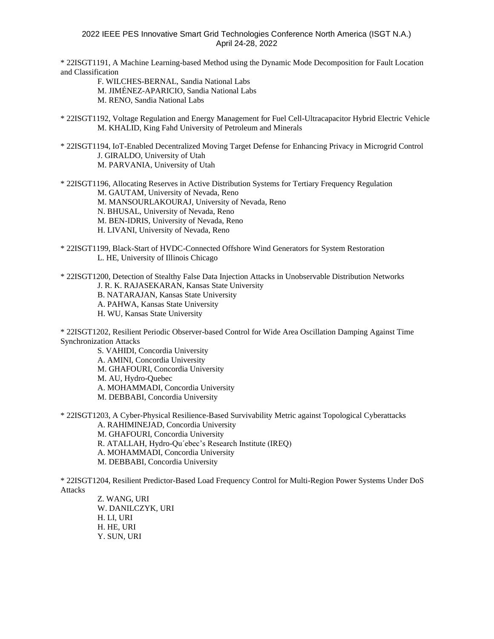\* 22ISGT1191, A Machine Learning-based Method using the Dynamic Mode Decomposition for Fault Location and Classification

F. WILCHES-BERNAL, Sandia National Labs

M. JIMÉNEZ-APARICIO, Sandia National Labs

M. RENO, Sandia National Labs

- \* 22ISGT1192, Voltage Regulation and Energy Management for Fuel Cell-Ultracapacitor Hybrid Electric Vehicle M. KHALID, King Fahd University of Petroleum and Minerals
- \* 22ISGT1194, IoT-Enabled Decentralized Moving Target Defense for Enhancing Privacy in Microgrid Control J. GIRALDO, University of Utah M. PARVANIA, University of Utah
- \* 22ISGT1196, Allocating Reserves in Active Distribution Systems for Tertiary Frequency Regulation M. GAUTAM, University of Nevada, Reno
	- M. MANSOURLAKOURAJ, University of Nevada, Reno

N. BHUSAL, University of Nevada, Reno

M. BEN-IDRIS, University of Nevada, Reno

H. LIVANI, University of Nevada, Reno

\* 22ISGT1199, Black-Start of HVDC-Connected Offshore Wind Generators for System Restoration L. HE, University of Illinois Chicago

\* 22ISGT1200, Detection of Stealthy False Data Injection Attacks in Unobservable Distribution Networks J. R. K. RAJASEKARAN, Kansas State University

B. NATARAJAN, Kansas State University

A. PAHWA, Kansas State University

H. WU, Kansas State University

\* 22ISGT1202, Resilient Periodic Observer-based Control for Wide Area Oscillation Damping Against Time Synchronization Attacks

> S. VAHIDI, Concordia University A. AMINI, Concordia University M. GHAFOURI, Concordia University M. AU, Hydro-Quebec A. MOHAMMADI, Concordia University M. DEBBABI, Concordia University

\* 22ISGT1203, A Cyber-Physical Resilience-Based Survivability Metric against Topological Cyberattacks

A. RAHIMINEJAD, Concordia University

M. GHAFOURI, Concordia University

R. ATALLAH, Hydro-Qu´ebec's Research Institute (IREQ)

A. MOHAMMADI, Concordia University

M. DEBBABI, Concordia University

\* 22ISGT1204, Resilient Predictor-Based Load Frequency Control for Multi-Region Power Systems Under DoS Attacks

Z. WANG, URI W. DANILCZYK, URI H. LI, URI H. HE, URI Y. SUN, URI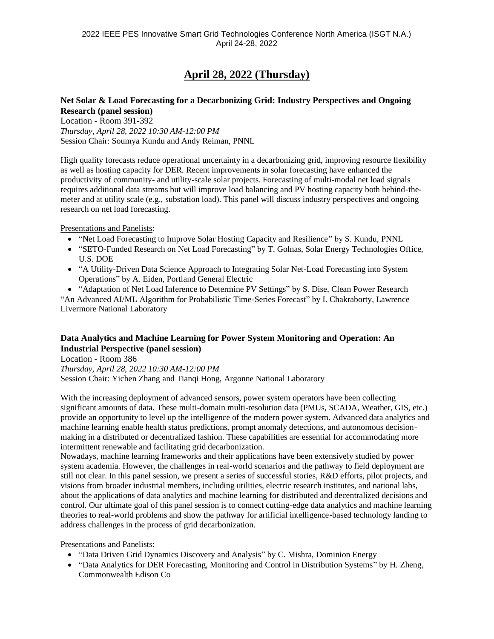# **April 28, 2022 (Thursday)**

## **Net Solar & Load Forecasting for a Decarbonizing Grid: Industry Perspectives and Ongoing Research (panel session)**

Location - Room 391-392 *Thursday, April 28, 2022 10:30 AM-12:00 PM* Session Chair: Soumya Kundu and Andy Reiman, PNNL

High quality forecasts reduce operational uncertainty in a decarbonizing grid, improving resource flexibility as well as hosting capacity for DER. Recent improvements in solar forecasting have enhanced the productivity of community- and utility-scale solar projects. Forecasting of multi-modal net load signals requires additional data streams but will improve load balancing and PV hosting capacity both behind-themeter and at utility scale (e.g., substation load). This panel will discuss industry perspectives and ongoing research on net load forecasting.

Presentations and Panelists:

- "Net Load Forecasting to Improve Solar Hosting Capacity and Resilience" by S. Kundu, PNNL
- "SETO-Funded Research on Net Load Forecasting" by T. Golnas, Solar Energy Technologies Office, U.S. DOE
- "A Utility-Driven Data Science Approach to Integrating Solar Net-Load Forecasting into System Operations" by A. Eiden, Portland General Electric

• "Adaptation of Net Load Inference to Determine PV Settings" by S. Dise, Clean Power Research

"An Advanced AI/ML Algorithm for Probabilistic Time-Series Forecast" by I. Chakraborty, Lawrence Livermore National Laboratory

# **Data Analytics and Machine Learning for Power System Monitoring and Operation: An Industrial Perspective (panel session)**

Location - Room 386 *Thursday, April 28, 2022 10:30 AM-12:00 PM* Session Chair: Yichen Zhang and Tianqi Hong, Argonne National Laboratory

With the increasing deployment of advanced sensors, power system operators have been collecting significant amounts of data. These multi-domain multi-resolution data (PMUs, SCADA, Weather, GIS, etc.) provide an opportunity to level up the intelligence of the modern power system. Advanced data analytics and machine learning enable health status predictions, prompt anomaly detections, and autonomous decisionmaking in a distributed or decentralized fashion. These capabilities are essential for accommodating more intermittent renewable and facilitating grid decarbonization.

Nowadays, machine learning frameworks and their applications have been extensively studied by power system academia. However, the challenges in real-world scenarios and the pathway to field deployment are still not clear. In this panel session, we present a series of successful stories, R&D efforts, pilot projects, and visions from broader industrial members, including utilities, electric research institutes, and national labs, about the applications of data analytics and machine learning for distributed and decentralized decisions and control. Our ultimate goal of this panel session is to connect cutting-edge data analytics and machine learning theories to real-world problems and show the pathway for artificial intelligence-based technology landing to address challenges in the process of grid decarbonization.

Presentations and Panelists:

- "Data Driven Grid Dynamics Discovery and Analysis" by C. Mishra, Dominion Energy
- "Data Analytics for DER Forecasting, Monitoring and Control in Distribution Systems" by H. Zheng, Commonwealth Edison Co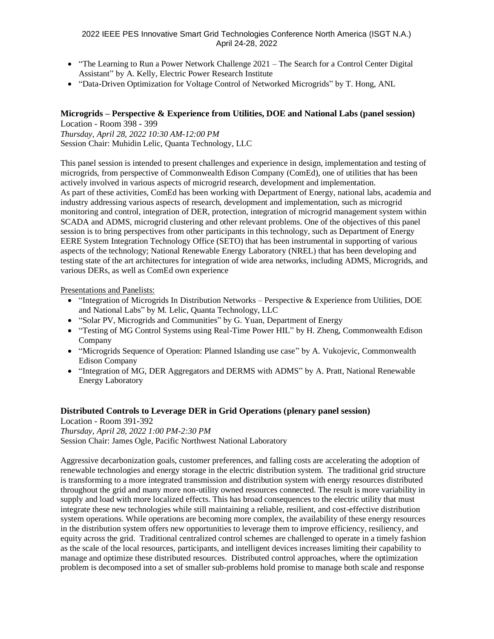- "The Learning to Run a Power Network Challenge 2021 The Search for a Control Center Digital Assistant" by A. Kelly, Electric Power Research Institute
- "Data-Driven Optimization for Voltage Control of Networked Microgrids" by T. Hong, ANL

## **Microgrids – Perspective & Experience from Utilities, DOE and National Labs (panel session)**

Location - Room 398 - 399 *Thursday, April 28, 2022 10:30 AM-12:00 PM* Session Chair: Muhidin Lelic, Quanta Technology, LLC

This panel session is intended to present challenges and experience in design, implementation and testing of microgrids, from perspective of Commonwealth Edison Company (ComEd), one of utilities that has been actively involved in various aspects of microgrid research, development and implementation. As part of these activities, ComEd has been working with Department of Energy, national labs, academia and industry addressing various aspects of research, development and implementation, such as microgrid monitoring and control, integration of DER, protection, integration of microgrid management system within SCADA and ADMS, microgrid clustering and other relevant problems. One of the objectives of this panel session is to bring perspectives from other participants in this technology, such as Department of Energy EERE System Integration Technology Office (SETO) that has been instrumental in supporting of various aspects of the technology; National Renewable Energy Laboratory (NREL) that has been developing and testing state of the art architectures for integration of wide area networks, including ADMS, Microgrids, and various DERs, as well as ComEd own experience

Presentations and Panelists:

- "Integration of Microgrids In Distribution Networks Perspective & Experience from Utilities, DOE and National Labs" by M. Lelic, Quanta Technology, LLC
- "Solar PV, Microgrids and Communities" by G. Yuan, Department of Energy
- "Testing of MG Control Systems using Real-Time Power HIL" by H. Zheng, Commonwealth Edison Company
- "Microgrids Sequence of Operation: Planned Islanding use case" by A. Vukojevic, Commonwealth Edison Company
- "Integration of MG, DER Aggregators and DERMS with ADMS" by A. Pratt, National Renewable Energy Laboratory

### **Distributed Controls to Leverage DER in Grid Operations (plenary panel session)**

Location - Room 391-392 *Thursday, April 28, 2022 1:00 PM-2:30 PM* Session Chair: James Ogle, Pacific Northwest National Laboratory

Aggressive decarbonization goals, customer preferences, and falling costs are accelerating the adoption of renewable technologies and energy storage in the electric distribution system. The traditional grid structure is transforming to a more integrated transmission and distribution system with energy resources distributed throughout the grid and many more non-utility owned resources connected. The result is more variability in supply and load with more localized effects. This has broad consequences to the electric utility that must integrate these new technologies while still maintaining a reliable, resilient, and cost-effective distribution system operations. While operations are becoming more complex, the availability of these energy resources in the distribution system offers new opportunities to leverage them to improve efficiency, resiliency, and equity across the grid. Traditional centralized control schemes are challenged to operate in a timely fashion as the scale of the local resources, participants, and intelligent devices increases limiting their capability to manage and optimize these distributed resources. Distributed control approaches, where the optimization problem is decomposed into a set of smaller sub-problems hold promise to manage both scale and response